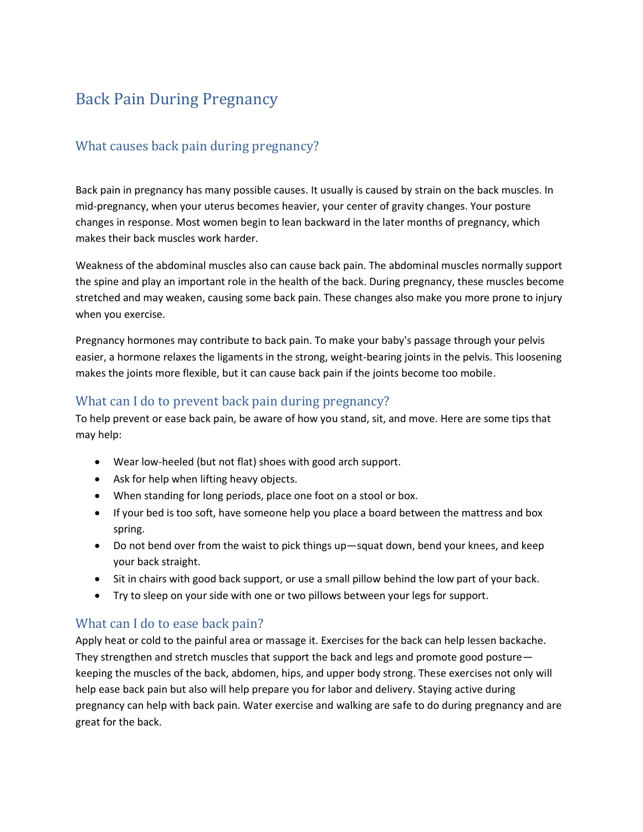# Back Pain During Pregnancy

## What causes back pain during pregnancy?

Back pain in pregnancy has many possible causes. It usually is caused by strain on the back muscles. In mid-pregnancy, when your uterus becomes heavier, your center of gravity changes. Your posture changes in response. Most women begin to lean backward in the later months of pregnancy, which makes their back muscles work harder.

Weakness of the abdominal muscles also can cause back pain. The abdominal muscles normally support the spine and play an important role in the health of the back. During pregnancy, these muscles become stretched and may weaken, causing some back pain. These changes also make you more prone to injury when you exercise.

Pregnancy hormones may contribute to back pain. To make your baby's passage through your pelvis easier, a hormone relaxes the ligaments in the strong, weight-bearing joints in the pelvis. This loosening makes the joints more flexible, but it can cause back pain if the joints become too mobile.

### What can I do to prevent back pain during pregnancy?

To help prevent or ease back pain, be aware of how you stand, sit, and move. Here are some tips that may help:

- Wear low-heeled (but not flat) shoes with good arch support.
- Ask for help when lifting heavy objects.
- When standing for long periods, place one foot on a stool or box.
- If your bed is too soft, have someone help you place a board between the mattress and box spring.
- Do not bend over from the waist to pick things up—squat down, bend your knees, and keep your back straight.
- Sit in chairs with good back support, or use a small pillow behind the low part of your back.
- Try to sleep on your side with one or two pillows between your legs for support.

#### What can I do to ease back pain?

Apply heat or cold to the painful area or massage it. Exercises for the back can help lessen backache. They strengthen and stretch muscles that support the back and legs and promote good posture keeping the muscles of the back, abdomen, hips, and upper body strong. These exercises not only will help ease back pain but also will help prepare you for labor and delivery. Staying active during pregnancy can help with back pain. Water exercise and walking are safe to do during pregnancy and are great for the back.